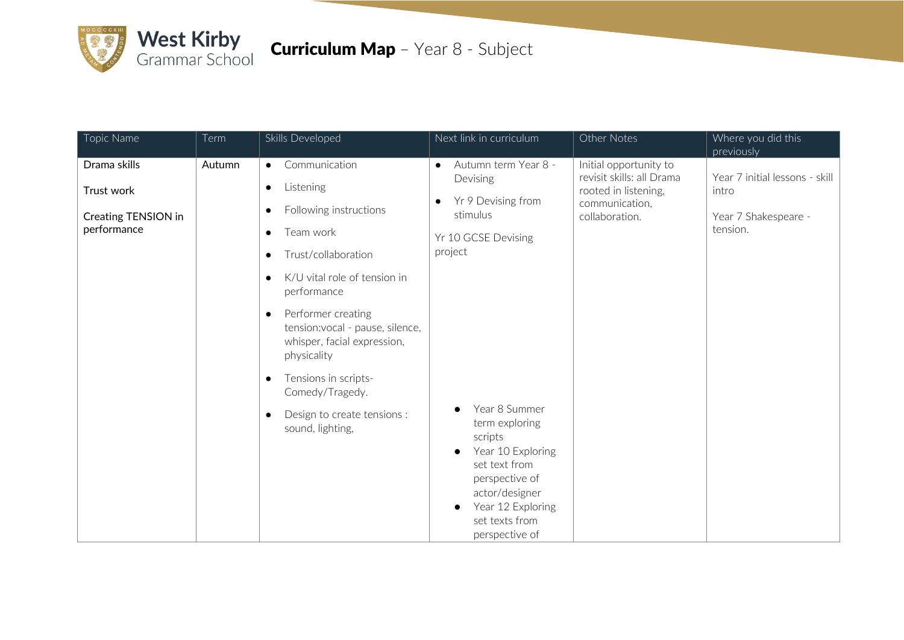

## Curriculum Map – Year 8 - Subject

| Topic Name                                                       | Term   | Skills Developed                                                                                                                                                                                                                                                                                                                                                                                                                                                   | Next link in curriculum                                                                                                                                                                                                                                                                                         | Other Notes                                                                                                     | Where you did this<br>previously                                            |
|------------------------------------------------------------------|--------|--------------------------------------------------------------------------------------------------------------------------------------------------------------------------------------------------------------------------------------------------------------------------------------------------------------------------------------------------------------------------------------------------------------------------------------------------------------------|-----------------------------------------------------------------------------------------------------------------------------------------------------------------------------------------------------------------------------------------------------------------------------------------------------------------|-----------------------------------------------------------------------------------------------------------------|-----------------------------------------------------------------------------|
| Drama skills<br>Trust work<br>Creating TENSION in<br>performance | Autumn | Communication<br>$\bullet$<br>Listening<br>$\bullet$<br>Following instructions<br>$\bullet$<br>Team work<br>$\bullet$<br>Trust/collaboration<br>$\bullet$<br>K/U vital role of tension in<br>$\bullet$<br>performance<br>Performer creating<br>$\bullet$<br>tension: vocal - pause, silence,<br>whisper, facial expression,<br>physicality<br>Tensions in scripts-<br>$\bullet$<br>Comedy/Tragedy.<br>Design to create tensions :<br>$\bullet$<br>sound, lighting, | Autumn term Year 8 -<br>$\bullet$<br>Devising<br>Yr 9 Devising from<br>$\bullet$<br>stimulus<br>Yr 10 GCSE Devising<br>project<br>Year 8 Summer<br>term exploring<br>scripts<br>Year 10 Exploring<br>set text from<br>perspective of<br>actor/designer<br>Year 12 Exploring<br>set texts from<br>perspective of | Initial opportunity to<br>revisit skills: all Drama<br>rooted in listening,<br>communication,<br>collaboration. | Year 7 initial lessons - skill<br>intro<br>Year 7 Shakespeare -<br>tension. |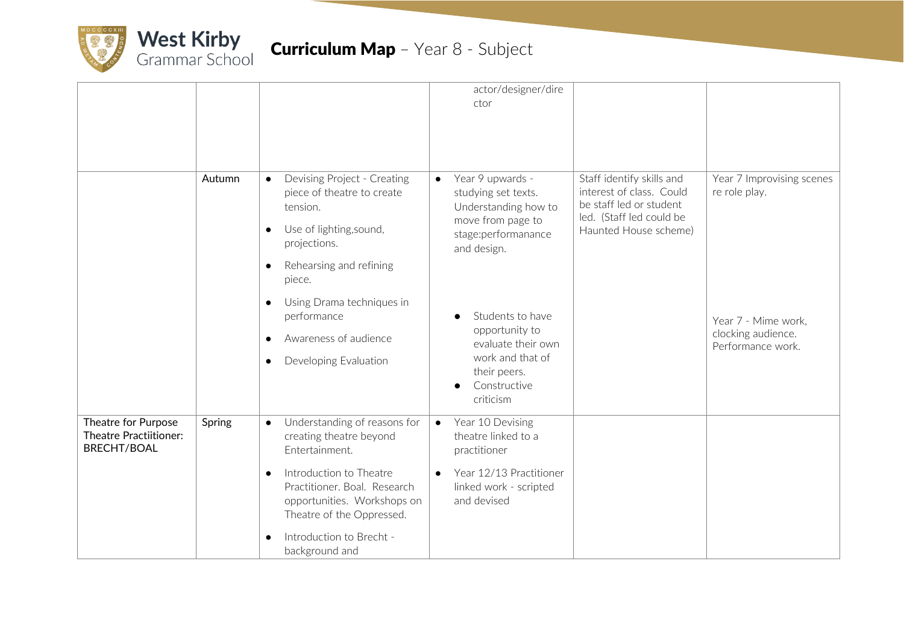

|                                                                            |        |                                                                                                                                  |           | actor/designer/dire<br>ctor                                                                                                |                                                                                                                                       |                                            |
|----------------------------------------------------------------------------|--------|----------------------------------------------------------------------------------------------------------------------------------|-----------|----------------------------------------------------------------------------------------------------------------------------|---------------------------------------------------------------------------------------------------------------------------------------|--------------------------------------------|
|                                                                            |        |                                                                                                                                  |           |                                                                                                                            |                                                                                                                                       |                                            |
|                                                                            | Autumn | Devising Project - Creating<br>$\bullet$<br>piece of theatre to create<br>tension.                                               | $\bullet$ | Year 9 upwards -<br>studying set texts.<br>Understanding how to<br>move from page to<br>stage:performanance<br>and design. | Staff identify skills and<br>interest of class. Could<br>be staff led or student<br>led. (Staff led could be<br>Haunted House scheme) | Year 7 Improvising scenes<br>re role play. |
|                                                                            |        | Use of lighting, sound,<br>$\bullet$<br>projections.                                                                             |           |                                                                                                                            |                                                                                                                                       |                                            |
|                                                                            |        | Rehearsing and refining<br>$\bullet$<br>piece.                                                                                   |           |                                                                                                                            |                                                                                                                                       |                                            |
|                                                                            |        | Using Drama techniques in<br>$\bullet$<br>performance                                                                            |           | Students to have<br>opportunity to                                                                                         |                                                                                                                                       | Year 7 - Mime work,                        |
|                                                                            |        | Awareness of audience<br>$\bullet$<br>Developing Evaluation                                                                      |           | evaluate their own<br>work and that of                                                                                     |                                                                                                                                       | clocking audience.<br>Performance work.    |
|                                                                            |        |                                                                                                                                  |           | their peers.<br>Constructive<br>criticism                                                                                  |                                                                                                                                       |                                            |
| Theatre for Purpose<br><b>Theatre Practiitioner:</b><br><b>BRECHT/BOAL</b> | Spring | Understanding of reasons for<br>$\bullet$<br>creating theatre beyond<br>Entertainment.                                           | $\bullet$ | Year 10 Devising<br>theatre linked to a<br>practitioner                                                                    |                                                                                                                                       |                                            |
|                                                                            |        | Introduction to Theatre<br>$\bullet$<br>Practitioner. Boal. Research<br>opportunities. Workshops on<br>Theatre of the Oppressed. | $\bullet$ | Year 12/13 Practitioner<br>linked work - scripted<br>and devised                                                           |                                                                                                                                       |                                            |
|                                                                            |        | Introduction to Brecht -<br>background and                                                                                       |           |                                                                                                                            |                                                                                                                                       |                                            |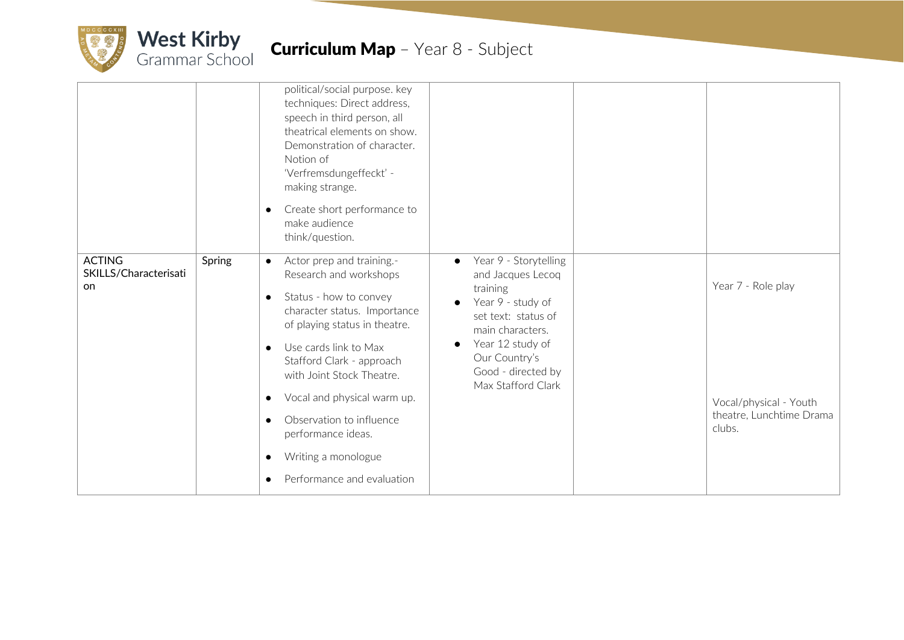

## **Curriculum Map** - Year 8 - Subject

|                                              |        | political/social purpose. key<br>techniques: Direct address,<br>speech in third person, all<br>theatrical elements on show.<br>Demonstration of character.<br>Notion of<br>'Verfremsdungeffeckt' -<br>making strange.<br>Create short performance to<br>$\bullet$<br>make audience<br>think/question.                                                                                                                                                              |                                                                                                                                                                                                                      |                                                                                    |
|----------------------------------------------|--------|--------------------------------------------------------------------------------------------------------------------------------------------------------------------------------------------------------------------------------------------------------------------------------------------------------------------------------------------------------------------------------------------------------------------------------------------------------------------|----------------------------------------------------------------------------------------------------------------------------------------------------------------------------------------------------------------------|------------------------------------------------------------------------------------|
| <b>ACTING</b><br>SKILLS/Characterisati<br>on | Spring | Actor prep and training.-<br>$\bullet$<br>Research and workshops<br>Status - how to convey<br>$\bullet$<br>character status. Importance<br>of playing status in theatre.<br>Use cards link to Max<br>$\bullet$<br>Stafford Clark - approach<br>with Joint Stock Theatre.<br>Vocal and physical warm up.<br>$\bullet$<br>Observation to influence<br>$\bullet$<br>performance ideas.<br>Writing a monologue<br>$\bullet$<br>Performance and evaluation<br>$\bullet$ | Year 9 - Storytelling<br>$\bullet$<br>and Jacques Lecoq<br>training<br>Year 9 - study of<br>set text: status of<br>main characters.<br>Year 12 study of<br>Our Country's<br>Good - directed by<br>Max Stafford Clark | Year 7 - Role play<br>Vocal/physical - Youth<br>theatre, Lunchtime Drama<br>clubs. |